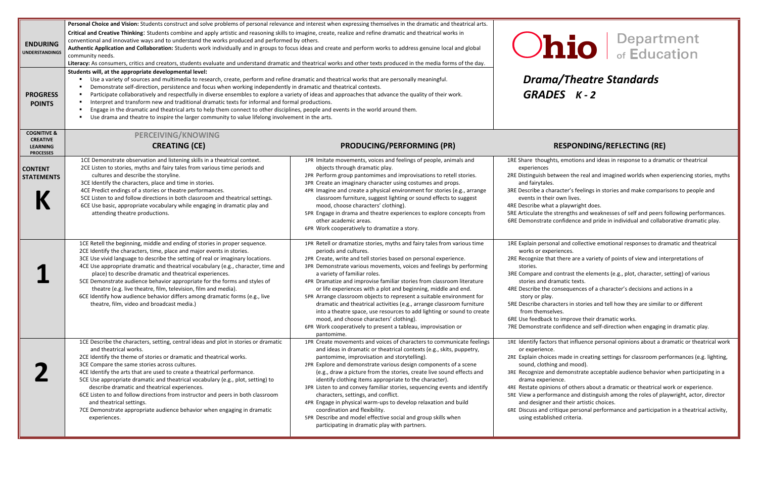### *Drama/Theatre Standards*

### **CREATING (CE) PRODUCING/PERFORMING (PR) RESPONDING/REFLECTING (RE)**

s, emotions and ideas in response to a dramatic or theatrical

ween the real and imagined worlds when experiencing stories, myths

racter's feelings in stories and make comparisons to people and own lives.

a playwright does.

strengths and weaknesses of self and peers following performances. onfidence and pride in individual and collaborative dramatic play.

al and collective emotional responses to dramatic and theatrical riences.

there are a variety of points of view and interpretations of

contrast the elements (e.g., plot, character, setting) of various amatic texts.

onsequences of a character's decisions and actions in a

cters in stories and tell how they are similar to or different ves.

to improve their dramatic works.

onfidence and self-direction when engaging in dramatic play.

If that influence personal opinions about a dramatic or theatrical work

made in creating settings for classroom performances (e.g. lighting, and mood).

demonstrate acceptable audience behavior when participating in a nce.

ns of others about a dramatic or theatrical work or experience.

nance and distinguish among the roles of playwright, actor, director nd their artistic choices.

tique personal performance and participation in a theatrical activity, ed criteria.

| <b>ENDURING</b><br><b>UNDERSTANDINGS</b><br><b>PROGRESS</b><br><b>POINTS</b>     | Personal Choice and Vision: Students construct and solve problems of personal relevance and interest when expressing themselves in the dramatic and theatrical arts.<br>Critical and Creative Thinking: Students combine and apply artistic and reasoning skills to imagine, create, realize and refine dramatic and theatrical works in<br>conventional and innovative ways and to understand the works produced and performed by others.<br>Authentic Application and Collaboration: Students work individually and in groups to focus ideas and create and perform works to address genuine local and global<br>community needs.<br>Literacy: As consumers, critics and creators, students evaluate and understand dramatic and theatrical works and other texts produced in the media forms of the day.<br>Students will, at the appropriate developmental level:<br>Use a variety of sources and multimedia to research, create, perform and refine dramatic and theatrical works that are personally meaningful.<br>Demonstrate self-direction, persistence and focus when working independently in dramatic and theatrical contexts.<br>Participate collaboratively and respectfully in diverse ensembles to explore a variety of ideas and approaches that advance the quality of their work.<br>Interpret and transform new and traditional dramatic texts for informal and formal productions.<br>Engage in the dramatic and theatrical arts to help them connect to other disciplines, people and events in the world around them.<br>Use drama and theatre to inspire the larger community to value lifelong involvement in the arts. | <b>Ohio</b><br><b>Drama/Theatr</b><br>GRADES K-2                                                                                                                                                                                                                                                                                                                                                                                                                                                                                                                                                                                                                                                                                                                                |                                                                                                                                                                                                                                                                                                                                                                                       |
|----------------------------------------------------------------------------------|---------------------------------------------------------------------------------------------------------------------------------------------------------------------------------------------------------------------------------------------------------------------------------------------------------------------------------------------------------------------------------------------------------------------------------------------------------------------------------------------------------------------------------------------------------------------------------------------------------------------------------------------------------------------------------------------------------------------------------------------------------------------------------------------------------------------------------------------------------------------------------------------------------------------------------------------------------------------------------------------------------------------------------------------------------------------------------------------------------------------------------------------------------------------------------------------------------------------------------------------------------------------------------------------------------------------------------------------------------------------------------------------------------------------------------------------------------------------------------------------------------------------------------------------------------------------------------------------------------------------------------------------------|---------------------------------------------------------------------------------------------------------------------------------------------------------------------------------------------------------------------------------------------------------------------------------------------------------------------------------------------------------------------------------------------------------------------------------------------------------------------------------------------------------------------------------------------------------------------------------------------------------------------------------------------------------------------------------------------------------------------------------------------------------------------------------|---------------------------------------------------------------------------------------------------------------------------------------------------------------------------------------------------------------------------------------------------------------------------------------------------------------------------------------------------------------------------------------|
| <b>COGNITIVE &amp;</b><br><b>CREATIVE</b><br><b>LEARNING</b><br><b>PROCESSES</b> | <b>PERCEIVING/KNOWING</b><br><b>CREATING (CE)</b>                                                                                                                                                                                                                                                                                                                                                                                                                                                                                                                                                                                                                                                                                                                                                                                                                                                                                                                                                                                                                                                                                                                                                                                                                                                                                                                                                                                                                                                                                                                                                                                                 | <b>PRODUCING/PERFORMING (PR)</b>                                                                                                                                                                                                                                                                                                                                                                                                                                                                                                                                                                                                                                                                                                                                                | <b>RESPONDING</b>                                                                                                                                                                                                                                                                                                                                                                     |
| <b>CONTENT</b><br><b>STATEMENTS</b>                                              | 1CE Demonstrate observation and listening skills in a theatrical context.<br>2CE Listen to stories, myths and fairy tales from various time periods and<br>cultures and describe the storyline.<br>3CE Identify the characters, place and time in stories.<br>4CE Predict endings of a stories or theatre performances.<br>5CE Listen to and follow directions in both classroom and theatrical settings.<br>6CE Use basic, appropriate vocabulary while engaging in dramatic play and<br>attending theatre productions.                                                                                                                                                                                                                                                                                                                                                                                                                                                                                                                                                                                                                                                                                                                                                                                                                                                                                                                                                                                                                                                                                                                          | 1PR Imitate movements, voices and feelings of people, animals and<br>objects through dramatic play.<br>2PR Perform group pantomimes and improvisations to retell stories.<br>3PR Create an imaginary character using costumes and props.<br>4PR Imagine and create a physical environment for stories (e.g., arrange<br>classroom furniture, suggest lighting or sound effects to suggest<br>mood, choose characters' clothing).<br>5PR Engage in drama and theatre experiences to explore concepts from<br>other academic areas.<br>6PR Work cooperatively to dramatize a story.                                                                                                                                                                                               | 1RE Share thoughts, emotions and i<br>experiences<br>2RE Distinguish between the real an<br>and fairytales.<br>3RE Describe a character's feelings i<br>events in their own lives.<br>4RE Describe what a playwright doe<br>5RE Articulate the strengths and we<br>6RE Demonstrate confidence and pr                                                                                  |
|                                                                                  | 1CE Retell the beginning, middle and ending of stories in proper sequence.<br>2CE Identify the characters, time, place and major events in stories.<br>3CE Use vivid language to describe the setting of real or imaginary locations.<br>4CE Use appropriate dramatic and theatrical vocabulary (e.g., character, time and<br>place) to describe dramatic and theatrical experiences.<br>5CE Demonstrate audience behavior appropriate for the forms and styles of<br>theatre (e.g. live theatre, film, television, film and media).<br>6CE Identify how audience behavior differs among dramatic forms (e.g., live<br>theatre, film, video and broadcast media.)                                                                                                                                                                                                                                                                                                                                                                                                                                                                                                                                                                                                                                                                                                                                                                                                                                                                                                                                                                                 | 1PR Retell or dramatize stories, myths and fairy tales from various time<br>periods and cultures.<br>2PR Create, write and tell stories based on personal experience.<br>3PR Demonstrate various movements, voices and feelings by performing<br>a variety of familiar roles.<br>4PR Dramatize and improvise familiar stories from classroom literature<br>or life experiences with a plot and beginning, middle and end.<br>5PR Arrange classroom objects to represent a suitable environment for<br>dramatic and theatrical activities (e.g., arrange classroom furniture<br>into a theatre space, use resources to add lighting or sound to create<br>mood, and choose characters' clothing).<br>6PR Work cooperatively to present a tableau, improvisation or<br>pantomime. | 1RE Explain personal and collective<br>works or experiences.<br>2RE Recognize that there are a varie<br>stories.<br>3RE Compare and contrast the elem<br>stories and dramatic texts.<br>4RE Describe the consequences of a<br>story or play.<br>5RE Describe characters in stories ar<br>from themselves.<br>6RE Use feedback to improve their o<br>7RE Demonstrate confidence and se |
|                                                                                  | 1CE Describe the characters, setting, central ideas and plot in stories or dramatic<br>and theatrical works.<br>2CE Identify the theme of stories or dramatic and theatrical works.<br>3CE Compare the same stories across cultures.<br>4CE Identify the arts that are used to create a theatrical performance.<br>5CE Use appropriate dramatic and theatrical vocabulary (e.g., plot, setting) to<br>describe dramatic and theatrical experiences.<br>6CE Listen to and follow directions from instructor and peers in both classroom<br>and theatrical settings.<br>7CE Demonstrate appropriate audience behavior when engaging in dramatic<br>experiences.                                                                                                                                                                                                                                                                                                                                                                                                                                                                                                                                                                                                                                                                                                                                                                                                                                                                                                                                                                                     | 1PR Create movements and voices of characters to communicate feelings<br>and ideas in dramatic or theatrical contexts (e.g., skits, puppetry,<br>pantomime, improvisation and storytelling).<br>2PR Explore and demonstrate various design components of a scene<br>(e.g., draw a picture from the stories, create live sound effects and<br>identify clothing items appropriate to the character).<br>3PR Listen to and convey familiar stories, sequencing events and identify<br>characters, settings, and conflict.<br>4PR Engage in physical warm-ups to develop relaxation and build<br>coordination and flexibility.<br>5PR Describe and model effective social and group skills when<br>participating in dramatic play with partners.                                   | 1RE Identify factors that influence p<br>or experience.<br>2RE Explain choices made in creatin<br>sound, clothing and mood).<br>3RE Recognize and demonstrate acc<br>drama experience.<br>4RE Restate opinions of others abou<br>5RE View a performance and disting<br>and designer and their artistic c<br>6RE Discuss and critique personal pe<br>using established criteria.       |

# $\left| \right|$   $\left| \right|$  Department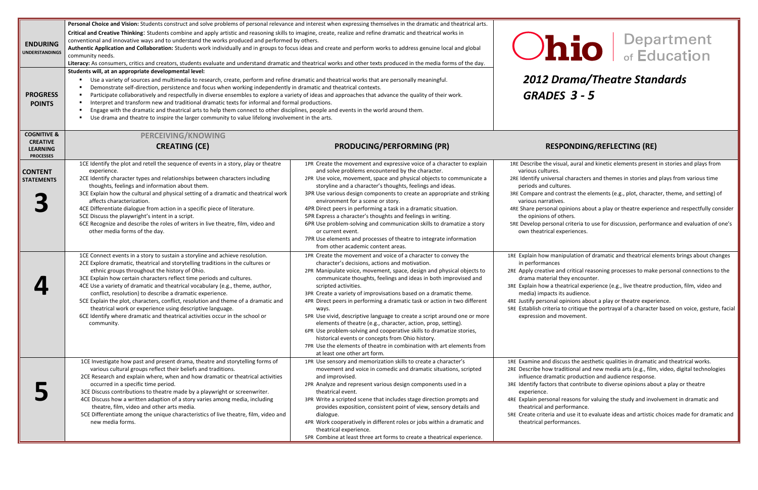### *2012 Drama/Theatre Standards GRADES 3 - 5*

#### $S$ **PONDING/REFLECTING** (RE)

sual, aural and kinetic elements present in stories and plays from

sal characters and themes in stories and plays from various time tures.

contrast the elements (e.g., plot, character, theme, and setting) of es.

opinions about a play or theatre experience and respectfully consider others.

nal criteria to use for discussion, performance and evaluation of one's experiences.

anipulation of dramatic and theatrical elements brings about changes

and critical reasoning processes to make personal connections to the they encounter.

heatrical experience (e.g., live theatre production, film, video and its audience.

I opinions about a play or theatre experience.

ia to critique the portrayal of a character based on voice, gesture, facial movement.

scuss the aesthetic qualities in dramatic and theatrical works. raditional and new media arts (e.g., film, video, digital technologies atic production and audience response.

that contribute to diverse opinions about a play or theatre

al reasons for valuing the study and involvement in dramatic and erformance.

and use it to evaluate ideas and artistic choices made for dramatic and rmances.

| <b>ENDURING</b><br><b>UNDERSTANDINGS</b><br><b>PROGRESS</b><br><b>POINTS</b>     | Personal Choice and Vision: Students construct and solve problems of personal relevance and interest when expressing themselves in the dramatic and theatrical arts.<br>Critical and Creative Thinking: Students combine and apply artistic and reasoning skills to imagine, create, realize and refine dramatic and theatrical works in<br>conventional and innovative ways and to understand the works produced and performed by others.<br>Authentic Application and Collaboration: Students work individually and in groups to focus ideas and create and perform works to address genuine local and global<br>community needs.<br>Literacy: As consumers, critics and creators, students evaluate and understand dramatic and theatrical works and other texts produced in the media forms of the day.<br>Students will, at an appropriate developmental level:<br>Use a variety of sources and multimedia to research, create, perform and refine dramatic and theatrical works that are personally meaningful.<br>٠<br>Demonstrate self-direction, persistence and focus when working independently in dramatic and theatrical contexts.<br>٠<br>Participate collaboratively and respectfully in diverse ensembles to explore a variety of ideas and approaches that advance the quality of their work.<br>٠<br>Interpret and transform new and traditional dramatic texts for informal and formal productions.<br>٠<br>Engage with the dramatic and theatrical arts to help them connect to other disciplines, people and events in the world around them.<br>$\blacksquare$<br>Use drama and theatre to inspire the larger community to value lifelong involvement in the arts.<br>٠ |                                                                                                                                                                                                                                                                                                                                                                                                                                                                                                                                                                                                                                                                                                                                                                                              |                                                                                                                                                                                                                                              |
|----------------------------------------------------------------------------------|-----------------------------------------------------------------------------------------------------------------------------------------------------------------------------------------------------------------------------------------------------------------------------------------------------------------------------------------------------------------------------------------------------------------------------------------------------------------------------------------------------------------------------------------------------------------------------------------------------------------------------------------------------------------------------------------------------------------------------------------------------------------------------------------------------------------------------------------------------------------------------------------------------------------------------------------------------------------------------------------------------------------------------------------------------------------------------------------------------------------------------------------------------------------------------------------------------------------------------------------------------------------------------------------------------------------------------------------------------------------------------------------------------------------------------------------------------------------------------------------------------------------------------------------------------------------------------------------------------------------------------------------------------------------------------------------------|----------------------------------------------------------------------------------------------------------------------------------------------------------------------------------------------------------------------------------------------------------------------------------------------------------------------------------------------------------------------------------------------------------------------------------------------------------------------------------------------------------------------------------------------------------------------------------------------------------------------------------------------------------------------------------------------------------------------------------------------------------------------------------------------|----------------------------------------------------------------------------------------------------------------------------------------------------------------------------------------------------------------------------------------------|
| <b>COGNITIVE &amp;</b><br><b>CREATIVE</b><br><b>LEARNING</b><br><b>PROCESSES</b> | PERCEIVING/KNOWING<br><b>CREATING (CE)</b>                                                                                                                                                                                                                                                                                                                                                                                                                                                                                                                                                                                                                                                                                                                                                                                                                                                                                                                                                                                                                                                                                                                                                                                                                                                                                                                                                                                                                                                                                                                                                                                                                                                    | <b>PRODUCING/PERFORMING (PR)</b>                                                                                                                                                                                                                                                                                                                                                                                                                                                                                                                                                                                                                                                                                                                                                             | <b>RES</b>                                                                                                                                                                                                                                   |
| <b>CONTENT</b><br><b>STATEMENTS</b>                                              | 1CE Identify the plot and retell the sequence of events in a story, play or theatre<br>experience.<br>2CE Identify character types and relationships between characters including<br>thoughts, feelings and information about them.<br>3CE Explain how the cultural and physical setting of a dramatic and theatrical work<br>affects characterization.<br>4CE Differentiate dialogue from action in a specific piece of literature.<br>5CE Discuss the playwright's intent in a script.<br>6CE Recognize and describe the roles of writers in live theatre, film, video and<br>other media forms of the day.<br>1CE Connect events in a story to sustain a storyline and achieve resolution.                                                                                                                                                                                                                                                                                                                                                                                                                                                                                                                                                                                                                                                                                                                                                                                                                                                                                                                                                                                                 | 1PR Create the movement and expressive voice of a character to explain<br>and solve problems encountered by the character.<br>2PR Use voice, movement, space and physical objects to communicate a<br>storyline and a character's thoughts, feelings and ideas.<br>3PR Use various design components to create an appropriate and striking<br>environment for a scene or story.<br>4PR Direct peers in performing a task in a dramatic situation.<br>5PR Express a character's thoughts and feelings in writing.<br>6PR Use problem-solving and communication skills to dramatize a story<br>or current event.<br>7PR Use elements and processes of theatre to integrate information<br>from other academic content areas.<br>1PR Create the movement and voice of a character to convey the | 1RE Describe the vis<br>various cultures.<br>2RE Identify univers<br>periods and cult<br>3RE Compare and co<br>various narrative<br>4RE Share personal<br>the opinions of o<br>5RE Develop person<br>own theatrical e<br>1RE Explain how mar |
|                                                                                  | 2CE Explore dramatic, theatrical and storytelling traditions in the cultures or<br>ethnic groups throughout the history of Ohio.<br>3CE Explain how certain characters reflect time periods and cultures.<br>4CE Use a variety of dramatic and theatrical vocabulary (e.g., theme, author,<br>conflict, resolution) to describe a dramatic experience.<br>5CE Explain the plot, characters, conflict, resolution and theme of a dramatic and<br>theatrical work or experience using descriptive language.<br>6CE Identify where dramatic and theatrical activities occur in the school or<br>community.                                                                                                                                                                                                                                                                                                                                                                                                                                                                                                                                                                                                                                                                                                                                                                                                                                                                                                                                                                                                                                                                                       | character's decisions, actions and motivation.<br>2PR Manipulate voice, movement, space, design and physical objects to<br>communicate thoughts, feelings and ideas in both improvised and<br>scripted activities.<br>3PR Create a variety of improvisations based on a dramatic theme.<br>4PR Direct peers in performing a dramatic task or action in two different<br>ways.<br>5PR Use vivid, descriptive language to create a script around one or more<br>elements of theatre (e.g., character, action, prop, setting).<br>6PR Use problem-solving and cooperative skills to dramatize stories,<br>historical events or concepts from Ohio history.<br>7PR Use the elements of theatre in combination with art elements from<br>at least one other art form.                             | in performances<br>2RE Apply creative a<br>drama material f<br>3RE Explain how a th<br>media) impacts i<br>4RE Justify personal<br>5RE Establish criteria<br>expression and r                                                                |
|                                                                                  | 1CE Investigate how past and present drama, theatre and storytelling forms of<br>various cultural groups reflect their beliefs and traditions.<br>2CE Research and explain where, when and how dramatic or theatrical activities<br>occurred in a specific time period.<br>3CE Discuss contributions to theatre made by a playwright or screenwriter.<br>4CE Discuss how a written adaption of a story varies among media, including<br>theatre, film, video and other arts media.<br>5CE Differentiate among the unique characteristics of live theatre, film, video and<br>new media forms.                                                                                                                                                                                                                                                                                                                                                                                                                                                                                                                                                                                                                                                                                                                                                                                                                                                                                                                                                                                                                                                                                                 | 1PR Use sensory and memorization skills to create a character's<br>movement and voice in comedic and dramatic situations, scripted<br>and improvised.<br>2PR Analyze and represent various design components used in a<br>theatrical event.<br>3PR Write a scripted scene that includes stage direction prompts and<br>provides exposition, consistent point of view, sensory details and<br>dialogue.<br>4PR Work cooperatively in different roles or jobs within a dramatic and<br>theatrical experience.<br>5PR Combine at least three art forms to create a theatrical experience.                                                                                                                                                                                                       | 1RE Examine and dis<br>2RE Describe how tra<br>influence drama<br>3RE Identify factors t<br>experience.<br>4RE Explain personal<br>theatrical and po<br>5RE Create criteria a<br>theatrical perfor                                           |

# **nio** Bepartment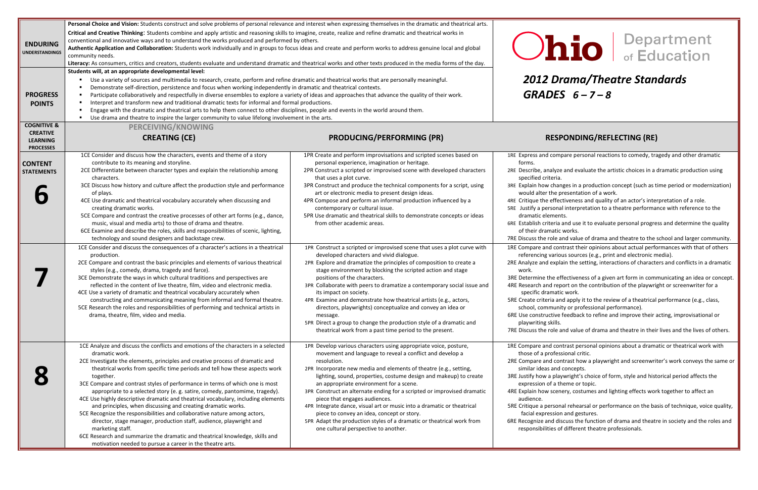## *2012 Drama/Theatre Standards*

### **PONDING/REFLECTING (RE)**

pare personal reactions to comedy, tragedy and other dramatic

- e and evaluate the artistic choices in a dramatic production using
- nges in a production concept (such as time period or modernization) presentation of a work.
- ctiveness and quality of an actor's interpretation of a role.
- al interpretation to a theatre performance with reference to the ıts.
- and use it to evaluate personal progress and determine the quality : works.
- and value of drama and theatre to the school and larger community.
- ntrast their opinions about actual performances with that of others ous sources (e.g., print and electronic media).
- lain the setting, interactions of characters and conflicts in a dramatic
- ffectiveness of a given art form in communicating an idea or concept. port on the contribution of the playwright or screenwriter for a ic work.
- od apply it to the review of a theatrical performance (e.g., class, ity or professional performance).
- feedback to refine and improve their acting, improvisational or
- and value of drama and theatre in their lives and the lives of others.
- ntrast personal opinions about a dramatic or theatrical work with sional critic.
- ntrast how a playwright and screenwriter's work conveys the same or concepts.
- lywright's choice of form, style and historical period affects the heme or topic.
- ery, costumes and lighting effects work together to affect an
- al rehearsal or performance on the basis of technique, voice quality, n and gestures.
- scuss the function of drama and theatre in society and the roles and of different theatre professionals.

| <b>ENDURING</b><br><b>UNDERSTANDINGS</b><br><b>PROGRESS</b><br><b>POINTS</b><br><b>COGNITIVE &amp;</b> | Personal Choice and Vision: Students construct and solve problems of personal relevance and interest when expressing themselves in the dramatic and theatrical arts.<br>Critical and Creative Thinking: Students combine and apply artistic and reasoning skills to imagine, create, realize and refine dramatic and theatrical works in<br>conventional and innovative ways and to understand the works produced and performed by others.<br>Authentic Application and Collaboration: Students work individually and in groups to focus ideas and create and perform works to address genuine local and global<br>community needs.<br>Literacy: As consumers, critics and creators, students evaluate and understand dramatic and theatrical works and other texts produced in the media forms of the day.<br>Students will, at an appropriate developmental level:<br>Use a variety of sources and multimedia to research, create, perform and refine dramatic and theatrical works that are personally meaningful.<br>Demonstrate self-direction, persistence and focus when working independently in dramatic and theatrical contexts.<br>$\blacksquare$<br>Participate collaboratively and respectfully in diverse ensembles to explore a variety of ideas and approaches that advance the quality of their work.<br>$\blacksquare$<br>Interpret and transform new and traditional dramatic texts for informal and formal productions.<br>$\blacksquare$<br>Engage with the dramatic and theatrical arts to help them connect to other disciplines, people and events in the world around them.<br>Use drama and theatre to inspire the larger community to value lifelong involvement in the arts.<br><b>PERCEIVING/KNOWING</b> | <b>Ohio</b><br>2012 Drama/Thea<br>GRADES $6 - 7 - 8$                                                                                                                                                                                                                                                                                                                                                                                                                                                                                                                                                                                                                                                                                                                                                                                                                                                                                                                    |                                                                                                                                                                                                                                                                                                                                                                                                                                                                                                                                                                                                                                                                                                                                              |
|--------------------------------------------------------------------------------------------------------|---------------------------------------------------------------------------------------------------------------------------------------------------------------------------------------------------------------------------------------------------------------------------------------------------------------------------------------------------------------------------------------------------------------------------------------------------------------------------------------------------------------------------------------------------------------------------------------------------------------------------------------------------------------------------------------------------------------------------------------------------------------------------------------------------------------------------------------------------------------------------------------------------------------------------------------------------------------------------------------------------------------------------------------------------------------------------------------------------------------------------------------------------------------------------------------------------------------------------------------------------------------------------------------------------------------------------------------------------------------------------------------------------------------------------------------------------------------------------------------------------------------------------------------------------------------------------------------------------------------------------------------------------------------------------------------------------------------------------------------|-------------------------------------------------------------------------------------------------------------------------------------------------------------------------------------------------------------------------------------------------------------------------------------------------------------------------------------------------------------------------------------------------------------------------------------------------------------------------------------------------------------------------------------------------------------------------------------------------------------------------------------------------------------------------------------------------------------------------------------------------------------------------------------------------------------------------------------------------------------------------------------------------------------------------------------------------------------------------|----------------------------------------------------------------------------------------------------------------------------------------------------------------------------------------------------------------------------------------------------------------------------------------------------------------------------------------------------------------------------------------------------------------------------------------------------------------------------------------------------------------------------------------------------------------------------------------------------------------------------------------------------------------------------------------------------------------------------------------------|
| <b>CREATIVE</b><br><b>LEARNING</b><br><b>PROCESSES</b>                                                 | <b>CREATING (CE)</b>                                                                                                                                                                                                                                                                                                                                                                                                                                                                                                                                                                                                                                                                                                                                                                                                                                                                                                                                                                                                                                                                                                                                                                                                                                                                                                                                                                                                                                                                                                                                                                                                                                                                                                                  | <b>PRODUCING/PERFORMING (PR)</b>                                                                                                                                                                                                                                                                                                                                                                                                                                                                                                                                                                                                                                                                                                                                                                                                                                                                                                                                        | <b>RESPONDING/REFLI</b>                                                                                                                                                                                                                                                                                                                                                                                                                                                                                                                                                                                                                                                                                                                      |
| <b>CONTENT</b><br><b>STATEMENTS</b>                                                                    | 1CE Consider and discuss how the characters, events and theme of a story<br>contribute to its meaning and storyline.<br>2CE Differentiate between character types and explain the relationship among<br>characters.<br>3CE Discuss how history and culture affect the production style and performance<br>of plays.<br>4CE Use dramatic and theatrical vocabulary accurately when discussing and<br>creating dramatic works.<br>5CE Compare and contrast the creative processes of other art forms (e.g., dance,<br>music, visual and media arts) to those of drama and theatre.<br>6CE Examine and describe the roles, skills and responsibilities of scenic, lighting,<br>technology and sound designers and backstage crew.<br>1CE Consider and discuss the consequences of a character's actions in a theatrical<br>production.<br>2CE Compare and contrast the basic principles and elements of various theatrical<br>styles (e.g., comedy, drama, tragedy and farce).<br>3CE Demonstrate the ways in which cultural traditions and perspectives are<br>reflected in the content of live theatre, film, video and electronic media.<br>4CE Use a variety of dramatic and theatrical vocabulary accurately when                                                                                                                                                                                                                                                                                                                                                                                                                                                                                                                   | 1PR Create and perform improvisations and scripted scenes based on<br>personal experience, imagination or heritage.<br>2PR Construct a scripted or improvised scene with developed characters<br>that uses a plot curve.<br>3PR Construct and produce the technical components for a script, using<br>art or electronic media to present design ideas.<br>4PR Compose and perform an informal production influenced by a<br>contemporary or cultural issue.<br>5PR Use dramatic and theatrical skills to demonstrate concepts or ideas<br>from other academic areas.<br>1PR Construct a scripted or improvised scene that uses a plot curve with<br>developed characters and vivid dialogue.<br>2PR Explore and dramatize the principles of composition to create a<br>stage environment by blocking the scripted action and stage<br>positions of the characters.<br>3PR Collaborate with peers to dramatize a contemporary social issue and<br>its impact on society. | 1RE Express and compare personal reaction<br>forms.<br>2RE Describe, analyze and evaluate the arti<br>specified criteria.<br>3RE Explain how changes in a production co<br>would alter the presentation of a work<br>4RE Critique the effectiveness and quality o<br>5RE Justify a personal interpretation to a t<br>dramatic elements.<br>6RE Establish criteria and use it to evaluate<br>of their dramatic works.<br>7RE Discuss the role and value of drama an<br>1RE Compare and contrast their opinions al<br>referencing various sources (e.g., print<br>2RE Analyze and explain the setting, interad<br>work.<br>3RE Determine the effectiveness of a given<br>4RE Research and report on the contributic<br>specific dramatic work. |
|                                                                                                        | constructing and communicating meaning from informal and formal theatre.<br>5CE Research the roles and responsibilities of performing and technical artists in<br>drama, theatre, film, video and media.<br>1CE Analyze and discuss the conflicts and emotions of the characters in a selected<br>dramatic work.<br>2CE Investigate the elements, principles and creative process of dramatic and<br>theatrical works from specific time periods and tell how these aspects work<br>together.<br>3CE Compare and contrast styles of performance in terms of which one is most<br>appropriate to a selected story (e. g. satire, comedy, pantomime, tragedy).<br>4CE Use highly descriptive dramatic and theatrical vocabulary, including elements<br>and principles, when discussing and creating dramatic works.<br>5CE Recognize the responsibilities and collaborative nature among actors,<br>director, stage manager, production staff, audience, playwright and<br>marketing staff.<br>6CE Research and summarize the dramatic and theatrical knowledge, skills and<br>motivation needed to pursue a career in the theatre arts.                                                                                                                                                                                                                                                                                                                                                                                                                                                                                                                                                                                                | 4PR Examine and demonstrate how theatrical artists (e.g., actors,<br>directors, playwrights) conceptualize and convey an idea or<br>message.<br>5PR Direct a group to change the production style of a dramatic and<br>theatrical work from a past time period to the present.<br>1PR Develop various characters using appropriate voice, posture,<br>movement and language to reveal a conflict and develop a<br>resolution.<br>2PR Incorporate new media and elements of theatre (e.g., setting,<br>lighting, sound, properties, costume design and makeup) to create<br>an appropriate environment for a scene.<br>3PR Construct an alternate ending for a scripted or improvised dramatic<br>piece that engages audiences.<br>4PR Integrate dance, visual art or music into a dramatic or theatrical<br>piece to convey an idea, concept or story.<br>5PR Adapt the production styles of a dramatic or theatrical work from<br>one cultural perspective to another. | 5RE Create criteria and apply it to the revie<br>school, community or professional per<br>6RE Use constructive feedback to refine an<br>playwriting skills.<br>7RE Discuss the role and value of drama an<br>1RE Compare and contrast personal opinior<br>those of a professional critic.<br>2RE Compare and contrast how a playwrigh<br>similar ideas and concepts.<br>3RE Justify how a playwright's choice of for<br>expression of a theme or topic.<br>4RE Explain how scenery, costumes and ligl<br>audience.<br>5RE Critique a personal rehearsal or perfor<br>facial expression and gestures.<br>6RE Recognize and discuss the function of o<br>responsibilities of different theatre pro                                             |

**110** Department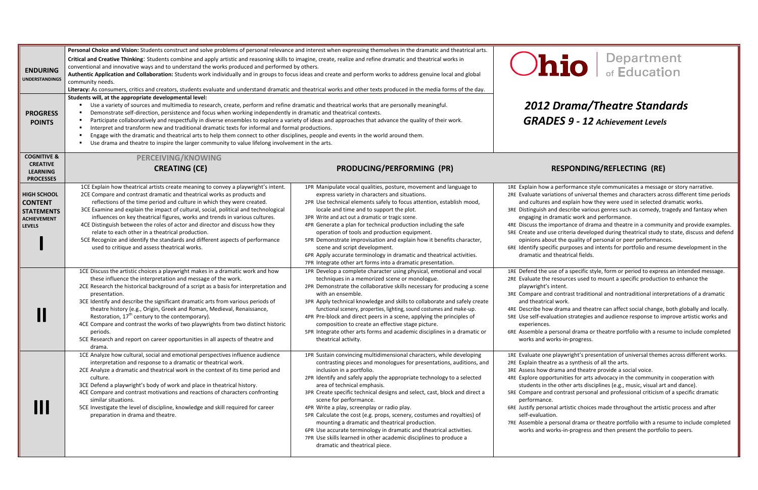### *2012 Drama/Theatre Standards*

*GRADES <sup>9</sup> - <sup>12</sup> Achievement Levels*

#### **CREATING (CE) PRODUCING/PERFORMING (PR) RESPONDING/REFLECTING (RE)**

erformance style communicates a message or story narrative. ons of universal themes and characters across different time periods l explain how they were used in selected dramatic works.

describe various genres such as comedy, tragedy and fantasy when natic work and performance.

Intance of drama and theatre in a community and provide examples. riteria developed during theatrical study to state, discuss and defend he quality of personal or peer performances.

purposes and intents for portfolio and resume development in the eatrical fields.

of a specific style, form or period to express an intended message. burces used to mount a specific production to enhance the  $int.$ 

ntrast traditional and nontraditional interpretations of a dramatic ork.

ama and theatre can affect social change, both globally and locally. on strategies and audience response to improve artistic works and

onal drama or theatre portfolio with a resume to include completed s-in-progress.

ywright's presentation of universal themes across different works. as a synthesis of all the arts.

na and theatre provide a social voice.

nities for arts advocacy in the community in cooperation with ther arts disciplines (e.g., music, visual art and dance).

ntrast personal and professional criticism of a specific dramatic

artistic choices made throughout the artistic process and after

onal drama or theatre portfolio with a resume to include completed s-in-progress and then present the portfolio to peers.

| <b>ENDURING</b><br><b>UNDERSTANDINGS</b><br><b>PROGRESS</b><br><b>POINTS</b>                                         | Personal Choice and Vision: Students construct and solve problems of personal relevance and interest when expressing themselves in the dramatic and theatrical arts.<br>Critical and Creative Thinking: Students combine and apply artistic and reasoning skills to imagine, create, realize and refine dramatic and theatrical works in<br>conventional and innovative ways and to understand the works produced and performed by others.<br>Authentic Application and Collaboration: Students work individually and in groups to focus ideas and create and perform works to address genuine local and global<br>community needs.<br>Literacy: As consumers, critics and creators, students evaluate and understand dramatic and theatrical works and other texts produced in the media forms of the day.<br>Students will, at the appropriate developmental level:<br>Use a variety of sources and multimedia to research, create, perform and refine dramatic and theatrical works that are personally meaningful.<br>Demonstrate self-direction, persistence and focus when working independently in dramatic and theatrical contexts.<br>Participate collaboratively and respectfully in diverse ensembles to explore a variety of ideas and approaches that advance the quality of their work.<br>Interpret and transform new and traditional dramatic texts for informal and formal productions.<br>Engage with the dramatic and theatrical arts to help them connect to other disciplines, people and events in the world around them.<br>Use drama and theatre to inspire the larger community to value lifelong involvement in the arts. |                                                                                                                                                                                                                                                                                                                                                                                                                                                                                                                                                                                                                                                                                                                                                     |                                                                                                                                                                                                                                                    |
|----------------------------------------------------------------------------------------------------------------------|-----------------------------------------------------------------------------------------------------------------------------------------------------------------------------------------------------------------------------------------------------------------------------------------------------------------------------------------------------------------------------------------------------------------------------------------------------------------------------------------------------------------------------------------------------------------------------------------------------------------------------------------------------------------------------------------------------------------------------------------------------------------------------------------------------------------------------------------------------------------------------------------------------------------------------------------------------------------------------------------------------------------------------------------------------------------------------------------------------------------------------------------------------------------------------------------------------------------------------------------------------------------------------------------------------------------------------------------------------------------------------------------------------------------------------------------------------------------------------------------------------------------------------------------------------------------------------------------------------------------------------------------------------|-----------------------------------------------------------------------------------------------------------------------------------------------------------------------------------------------------------------------------------------------------------------------------------------------------------------------------------------------------------------------------------------------------------------------------------------------------------------------------------------------------------------------------------------------------------------------------------------------------------------------------------------------------------------------------------------------------------------------------------------------------|----------------------------------------------------------------------------------------------------------------------------------------------------------------------------------------------------------------------------------------------------|
| <b>COGNITIVE &amp;</b><br><b>CREATIVE</b><br><b>LEARNING</b>                                                         | PERCEIVING/KNOWING<br><b>CREATING (CE)</b>                                                                                                                                                                                                                                                                                                                                                                                                                                                                                                                                                                                                                                                                                                                                                                                                                                                                                                                                                                                                                                                                                                                                                                                                                                                                                                                                                                                                                                                                                                                                                                                                          | PRODUCING/PERFORMING (PR)                                                                                                                                                                                                                                                                                                                                                                                                                                                                                                                                                                                                                                                                                                                           | RE:                                                                                                                                                                                                                                                |
| <b>PROCESSES</b><br><b>HIGH SCHOOL</b><br><b>CONTENT</b><br><b>STATEMENTS</b><br><b>ACHIEVEMENT</b><br><b>LEVELS</b> | 1CE Explain how theatrical artists create meaning to convey a playwright's intent.<br>2CE Compare and contrast dramatic and theatrical works as products and<br>reflections of the time period and culture in which they were created.<br>3CE Examine and explain the impact of cultural, social, political and technological<br>influences on key theatrical figures, works and trends in various cultures.<br>4CE Distinguish between the roles of actor and director and discuss how they<br>relate to each other in a theatrical production.<br>5CE Recognize and identify the standards and different aspects of performance<br>used to critique and assess theatrical works.                                                                                                                                                                                                                                                                                                                                                                                                                                                                                                                                                                                                                                                                                                                                                                                                                                                                                                                                                                  | 1PR Manipulate vocal qualities, posture, movement and language to<br>express variety in characters and situations.<br>2PR Use technical elements safely to focus attention, establish mood,<br>locale and time and to support the plot.<br>3PR Write and act out a dramatic or tragic scene.<br>4PR Generate a plan for technical production including the safe<br>operation of tools and production equipment.<br>5PR Demonstrate improvisation and explain how it benefits character,<br>scene and script development.<br>6PR Apply accurate terminology in dramatic and theatrical activities.<br>7PR Integrate other art forms into a dramatic presentation.                                                                                    | 1RE Explain how a pe<br>2RE Evaluate variatio<br>and cultures and<br>3RE Distinguish and d<br>engaging in dram<br>4RE Discuss the impo<br>5RE Create and use ci<br>opinions about tl<br>6RE Identify specific p<br>dramatic and the                |
|                                                                                                                      | 1CE Discuss the artistic choices a playwright makes in a dramatic work and how<br>these influence the interpretation and message of the work.<br>2CE Research the historical background of a script as a basis for interpretation and<br>presentation.<br>3CE Identify and describe the significant dramatic arts from various periods of<br>theatre history (e.g., Origin, Greek and Roman, Medieval, Renaissance,<br>Restoration, 17 <sup>th</sup> century to the contemporary).<br>4CE Compare and contrast the works of two playwrights from two distinct historic<br>periods.<br>5CE Research and report on career opportunities in all aspects of theatre and<br>drama.                                                                                                                                                                                                                                                                                                                                                                                                                                                                                                                                                                                                                                                                                                                                                                                                                                                                                                                                                                       | 1PR Develop a complete character using physical, emotional and vocal<br>techniques in a memorized scene or monologue.<br>2PR Demonstrate the collaborative skills necessary for producing a scene<br>with an ensemble.<br>3PR Apply technical knowledge and skills to collaborate and safely create<br>functional scenery, properties, lighting, sound costumes and make-up.<br>4PR Pre-block and direct peers in a scene, applying the principles of<br>composition to create an effective stage picture.<br>5PR Integrate other arts forms and academic disciplines in a dramatic or<br>theatrical activity.                                                                                                                                      | 1RE Defend the use o<br>2RE Evaluate the reso<br>playwright's inter<br>3RE Compare and cor<br>and theatrical wo<br>4RE Describe how dra<br>5RE Use self-evaluation<br>experiences.<br>6RE Assemble a perso<br>works and works                      |
|                                                                                                                      | 1CE Analyze how cultural, social and emotional perspectives influence audience<br>interpretation and response to a dramatic or theatrical work.<br>2CE Analyze a dramatic and theatrical work in the context of its time period and<br>culture.<br>3CE Defend a playwright's body of work and place in theatrical history.<br>4CE Compare and contrast motivations and reactions of characters confronting<br>similar situations.<br>5CE Investigate the level of discipline, knowledge and skill required for career<br>preparation in drama and theatre.                                                                                                                                                                                                                                                                                                                                                                                                                                                                                                                                                                                                                                                                                                                                                                                                                                                                                                                                                                                                                                                                                          | 1PR Sustain convincing multidimensional characters, while developing<br>contrasting pieces and monologues for presentations, auditions, and<br>inclusion in a portfolio.<br>2PR Identify and safely apply the appropriate technology to a selected<br>area of technical emphasis.<br>3PR Create specific technical designs and select, cast, block and direct a<br>scene for performance.<br>4PR Write a play, screenplay or radio play.<br>5PR Calculate the cost (e.g. props, scenery, costumes and royalties) of<br>mounting a dramatic and theatrical production.<br>6PR Use accurate terminology in dramatic and theatrical activities.<br>7PR Use skills learned in other academic disciplines to produce a<br>dramatic and theatrical piece. | 1RE Evaluate one play<br>2RE Explain theatre a<br>3RE Assess how dram<br>4RE Explore opportur<br>students in the o<br>5RE Compare and cor<br>performance.<br>6RE Justify personal a<br>self-evaluation.<br>7RE Assemble a perso<br>works and works |

# **io** Bepartment